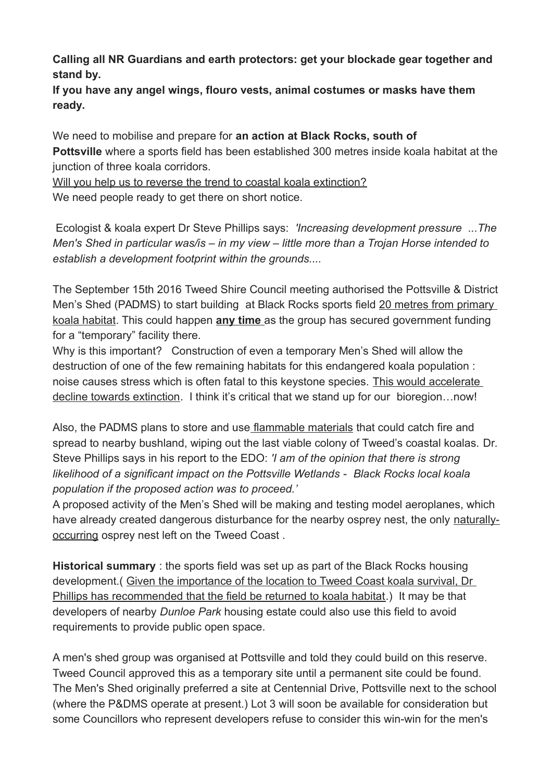**Calling all NR Guardians and earth protectors: get your blockade gear together and stand by.**

**If you have any angel wings, flouro vests, animal costumes or masks have them ready.**

We need to mobilise and prepare for **an action at Black Rocks, south of Pottsville** where a sports field has been established 300 metres inside koala habitat at the junction of three koala corridors.

Will you help us to reverse the trend to coastal koala extinction? We need people ready to get there on short notice.

Ecologist & koala expert Dr Steve Phillips says: *'Increasing development pressure ...The Men's Shed in particular was/is – in my view – little more than a Trojan Horse intended to establish a development footprint within the grounds....*

The September 15th 2016 Tweed Shire Council meeting authorised the Pottsville & District Men's Shed (PADMS) to start building at Black Rocks sports field 20 metres from primary koala habitat. This could happen **any time** as the group has secured government funding for a "temporary" facility there.

Why is this important? Construction of even a temporary Men's Shed will allow the destruction of one of the few remaining habitats for this endangered koala population : noise causes stress which is often fatal to this keystone species. This would accelerate decline towards extinction. I think it's critical that we stand up for our bioregion...now!

Also, the PADMS plans to store and use flammable materials that could catch fire and spread to nearby bushland, wiping out the last viable colony of Tweed's coastal koalas. Dr. Steve Phillips says in his report to the EDO: *'I am of the opinion that there is strong likelihood of a significant impact on the Pottsville Wetlands - Black Rocks local koala population if the proposed action was to proceed.'*

A proposed activity of the Men's Shed will be making and testing model aeroplanes, which have already created dangerous disturbance for the nearby osprey nest, the only naturallyoccurring osprey nest left on the Tweed Coast .

**Historical summary** : the sports field was set up as part of the Black Rocks housing development.( Given the importance of the location to Tweed Coast koala survival, Dr Phillips has recommended that the field be returned to koala habitat.) It may be that developers of nearby *Dunloe Park* housing estate could also use this field to avoid requirements to provide public open space.

A men's shed group was organised at Pottsville and told they could build on this reserve. Tweed Council approved this as a temporary site until a permanent site could be found. The Men's Shed originally preferred a site at Centennial Drive, Pottsville next to the school (where the P&DMS operate at present.) Lot 3 will soon be available for consideration but some Councillors who represent developers refuse to consider this win-win for the men's